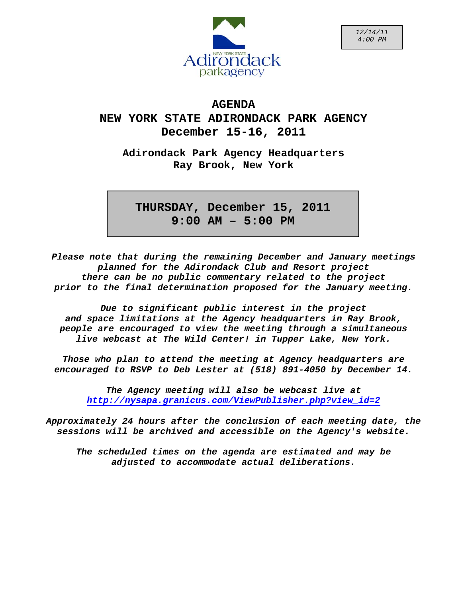

# **AGENDA NEW YORK STATE ADIRONDACK PARK AGENCY December 15-16, 2011**

**Adirondack Park Agency Headquarters Ray Brook, New York** 

**<sup>M</sup> THURSDAY, December 15, 2011 9:00 AM – 5:00 PM**

*Please note that during the remaining December and January meetings planned for the Adirondack Club and Resort project there can be no public commentary related to the project prior to the final determination proposed for the January meeting.* 

*Due to significant public interest in the project and space limitations at the Agency headquarters in Ray Brook, people are encouraged to view the meeting through a simultaneous live webcast at The Wild Center! in Tupper Lake, New York.* 

*Those who plan to attend the meeting at Agency headquarters are encouraged to RSVP to Deb Lester at (518) 891-4050 by December 14.* 

*The Agency meeting will also be webcast live at [http://nysapa.granicus.com/ViewPublisher.php?view\\_id=2](http://nysapa.granicus.com/ViewPublisher.php?view_id=2)*

*Approximately 24 hours after the conclusion of each meeting date, the sessions will be archived and accessible on the Agency's website.* 

*The scheduled times on the agenda are estimated and may be adjusted to accommodate actual deliberations.*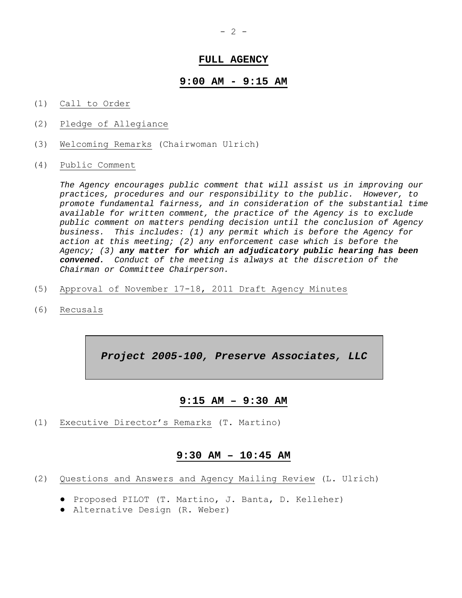# **FULL AGENCY**

## **9:00 AM - 9:15 AM**

- (1) Call to Order
- (2) Pledge of Allegiance
- (3) Welcoming Remarks (Chairwoman Ulrich)
- (4) Public Comment

*The Agency encourages public comment that will assist us in improving our practices, procedures and our responsibility to the public. However, to promote fundamental fairness, and in consideration of the substantial time available for written comment, the practice of the Agency is to exclude public comment on matters pending decision until the conclusion of Agency business. This includes: (1) any permit which is before the Agency for action at this meeting; (2) any enforcement case which is before the Agency; (3) any matter for which an adjudicatory public hearing has been convened. Conduct of the meeting is always at the discretion of the Chairman or Committee Chairperson.* 

- (5) Approval of November 17-18, 2011 Draft Agency Minutes
- (6) Recusals

*Project 2005-100, Preserve Associates, LLC* 

# **9:15 AM – 9:30 AM**

(1) Executive Director's Remarks (T. Martino)

## **9:30 AM – 10:45 AM**

- (2) Questions and Answers and Agency Mailing Review (L. Ulrich)
	- Proposed PILOT (T. Martino, J. Banta, D. Kelleher)
	- Alternative Design (R. Weber)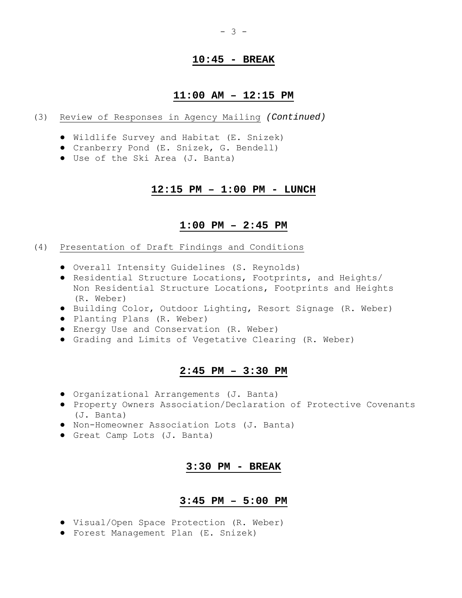# **10:45 - BREAK**

# **11:00 AM – 12:15 PM**

- (3) Review of Responses in Agency Mailing *(Continued)*
	- Wildlife Survey and Habitat (E. Snizek)
	- Cranberry Pond (E. Snizek, G. Bendell)
	- Use of the Ski Area (J. Banta)

## **12:15 PM – 1:00 PM - LUNCH**

# **1:00 PM – 2:45 PM**

#### (4) Presentation of Draft Findings and Conditions

- Overall Intensity Guidelines (S. Reynolds)
- Residential Structure Locations, Footprints, and Heights/ Non Residential Structure Locations, Footprints and Heights (R. Weber)
- Building Color, Outdoor Lighting, Resort Signage (R. Weber)
- Planting Plans (R. Weber)
- Energy Use and Conservation (R. Weber)
- Grading and Limits of Vegetative Clearing (R. Weber)

## **2:45 PM – 3:30 PM**

- Organizational Arrangements (J. Banta)
- Property Owners Association/Declaration of Protective Covenants (J. Banta)
- Non-Homeowner Association Lots (J. Banta)
- Great Camp Lots (J. Banta)

## **3:30 PM - BREAK**

# **3:45 PM – 5:00 PM**

- Visual/Open Space Protection (R. Weber)
- Forest Management Plan (E. Snizek)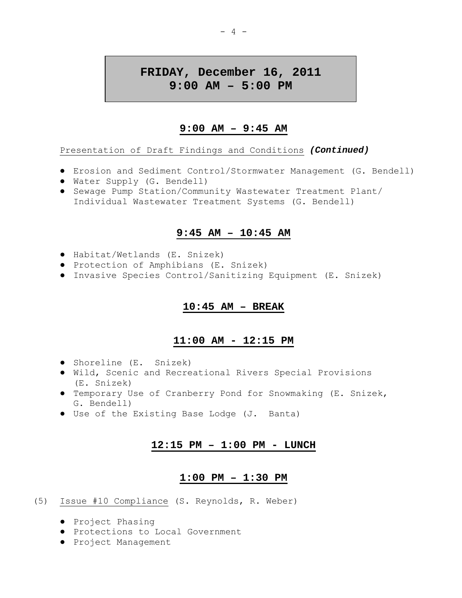# **FRIDAY, December 16, 2011 9:00 AM – 5:00 PM**

# **9:00 AM – 9:45 AM**

Presentation of Draft Findings and Conditions *(Continued)*

- Erosion and Sediment Control/Stormwater Management (G. Bendell)
- Water Supply (G. Bendell)
- Sewage Pump Station/Community Wastewater Treatment Plant/ Individual Wastewater Treatment Systems (G. Bendell)

# **9:45 AM – 10:45 AM**

- Habitat/Wetlands (E. Snizek)
- Protection of Amphibians (E. Snizek)
- Invasive Species Control/Sanitizing Equipment (E. Snizek)

# **10:45 AM – BREAK**

# **11:00 AM - 12:15 PM**

- Shoreline (E. Snizek)
- Wild, Scenic and Recreational Rivers Special Provisions (E. Snizek)
- Temporary Use of Cranberry Pond for Snowmaking (E. Snizek, G. Bendell)
- Use of the Existing Base Lodge (J. Banta)

# **12:15 PM – 1:00 PM - LUNCH**

# **1:00 PM – 1:30 PM**

- (5) Issue #10 Compliance (S. Reynolds, R. Weber)
	- Project Phasing
	- Protections to Local Government
	- Project Management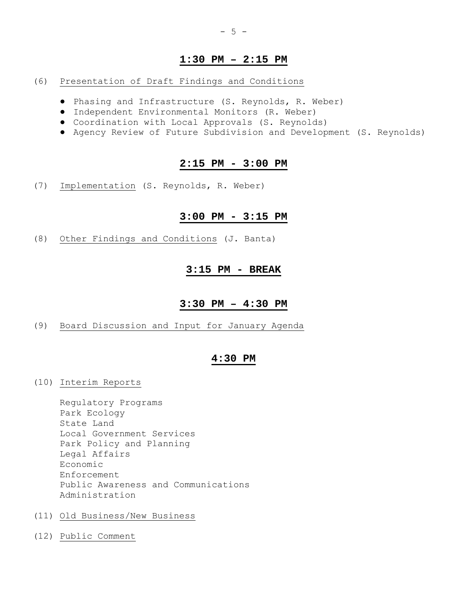# **1:30 PM – 2:15 PM**

## (6) Presentation of Draft Findings and Conditions

- Phasing and Infrastructure (S. Reynolds, R. Weber)
- Independent Environmental Monitors (R. Weber)
- Coordination with Local Approvals (S. Reynolds)
- Agency Review of Future Subdivision and Development (S. Reynolds)

## **2:15 PM - 3:00 PM**

(7) Implementation (S. Reynolds, R. Weber)

# **3:00 PM - 3:15 PM**

(8) Other Findings and Conditions (J. Banta)

# **3:15 PM - BREAK**

## **3:30 PM – 4:30 PM**

(9) Board Discussion and Input for January Agenda

# **4:30 PM**

(10) Interim Reports

 Regulatory Programs Park Ecology State Land Local Government Services Park Policy and Planning Legal Affairs Economic Enforcement Public Awareness and Communications Administration

- (11) Old Business/New Business
- (12) Public Comment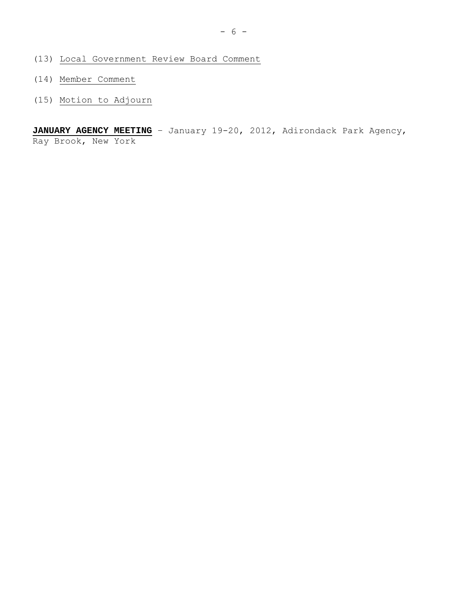- (13) Local Government Review Board Comment
- (14) Member Comment
- (15) Motion to Adjourn

JANUARY AGENCY MEETING - January 19-20, 2012, Adirondack Park Agency, Ray Brook, New York